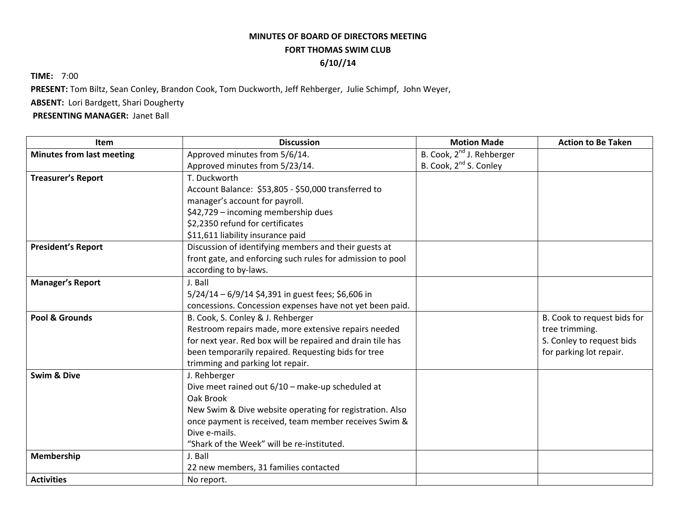## **MINUTES OF BOARD OF DIRECTORS MEETING FORT THOMAS SWIM CLUB 6/10//14**

**TIME:** 7:00

**PRESENT:** Tom Biltz, Sean Conley, Brandon Cook, Tom Duckworth, Jeff Rehberger, Julie Schimpf, John Weyer,

**ABSENT:** Lori Bardgett, Shari Dougherty

**PRESENTING MANAGER:** Janet Ball

| <b>Item</b>                      | <b>Discussion</b>                                          | <b>Motion Made</b>                    | <b>Action to Be Taken</b>   |
|----------------------------------|------------------------------------------------------------|---------------------------------------|-----------------------------|
| <b>Minutes from last meeting</b> | Approved minutes from 5/6/14.                              | B. Cook, 2 <sup>nd</sup> J. Rehberger |                             |
|                                  | Approved minutes from 5/23/14.                             | B. Cook, 2 <sup>nd</sup> S. Conley    |                             |
| <b>Treasurer's Report</b>        | T. Duckworth                                               |                                       |                             |
|                                  | Account Balance: \$53,805 - \$50,000 transferred to        |                                       |                             |
|                                  | manager's account for payroll.                             |                                       |                             |
|                                  | \$42,729 - incoming membership dues                        |                                       |                             |
|                                  | \$2,2350 refund for certificates                           |                                       |                             |
|                                  | \$11,611 liability insurance paid                          |                                       |                             |
| <b>President's Report</b>        | Discussion of identifying members and their guests at      |                                       |                             |
|                                  | front gate, and enforcing such rules for admission to pool |                                       |                             |
|                                  | according to by-laws.                                      |                                       |                             |
| <b>Manager's Report</b>          | J. Ball                                                    |                                       |                             |
|                                  | 5/24/14 - 6/9/14 \$4,391 in guest fees; \$6,606 in         |                                       |                             |
|                                  | concessions. Concession expenses have not yet been paid.   |                                       |                             |
| Pool & Grounds                   | B. Cook, S. Conley & J. Rehberger                          |                                       | B. Cook to request bids for |
|                                  | Restroom repairs made, more extensive repairs needed       |                                       | tree trimming.              |
|                                  | for next year. Red box will be repaired and drain tile has |                                       | S. Conley to request bids   |
|                                  | been temporarily repaired. Requesting bids for tree        |                                       | for parking lot repair.     |
|                                  | trimming and parking lot repair.                           |                                       |                             |
| <b>Swim &amp; Dive</b>           | J. Rehberger                                               |                                       |                             |
|                                  | Dive meet rained out 6/10 - make-up scheduled at           |                                       |                             |
|                                  | Oak Brook                                                  |                                       |                             |
|                                  | New Swim & Dive website operating for registration. Also   |                                       |                             |
|                                  | once payment is received, team member receives Swim &      |                                       |                             |
|                                  | Dive e-mails.                                              |                                       |                             |
|                                  | "Shark of the Week" will be re-instituted.                 |                                       |                             |
| Membership                       | J. Ball                                                    |                                       |                             |
|                                  | 22 new members, 31 families contacted                      |                                       |                             |
| <b>Activities</b>                | No report.                                                 |                                       |                             |